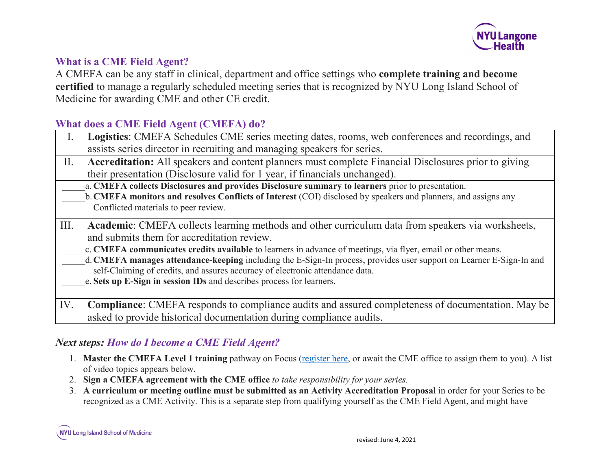

### **What is a CME Field Agent?**

A CMEFA can be any staff in clinical, department and office settings who **complete training and become certified** to manage a regularly scheduled meeting series that is recognized by NYU Long Island School of Medicine for awarding CME and other CE credit.

## **What does a CME Field Agent (CMEFA) do?**

| <b>Logistics:</b> CMEFA Schedules CME series meeting dates, rooms, web conferences and recordings, and |
|--------------------------------------------------------------------------------------------------------|
| assists series director in recruiting and managing speakers for series.                                |
| Accreditation: All speakers and content planners must complete Financial Disclosures prior to giving   |

- **editation:** All speakers and content planners must complete Financial Disclosures prior to gi their presentation (Disclosure valid for 1 year, if financials unchanged).
- \_\_\_\_\_a. **CMEFA collects Disclosures and provides Disclosure summary to learners** prior to presentation.
- \_\_\_\_\_b.**CMEFA monitors and resolves Conflicts of Interest** (COI) disclosed by speakers and planners, and assigns any Conflicted materials to peer review.
- III. **Academic**: CMEFA collects learning methods and other curriculum data from speakers via worksheets, and submits them for accreditation review.
	- \_\_\_\_\_c. **CMEFA communicates credits available** to learners in advance of meetings, via flyer, email or other means.
	- \_\_\_\_\_d.**CMEFA manages attendance-keeping** including the E-Sign-In process, provides user support on Learner E-Sign-In and self-Claiming of credits, and assures accuracy of electronic attendance data.
		- \_\_\_\_\_e. **Sets up E-Sign in session IDs** and describes process for learners.
- IV. **Compliance**: CMEFA responds to compliance audits and assured completeness of documentation. May be asked to provide historical documentation during compliance audits.

# *Next steps: How do I become a CME Field Agent?*

- 1. **Master the CMEFA Level 1 training** pathway on Focus [\(register here,](https://nyumc.sabacloud.com/Saba/Web_spf/NA3P1PRD0091/app/shared;spf-url=common%2Flearningeventdetail%2Fcurra000000000012060) or await the CME office to assign them to you). A list of video topics appears below.
- 2. **Sign a CMEFA agreement with the CME office** *to take responsibility for your series.*
- 3. **A curriculum or meeting outline must be submitted as an Activity Accreditation Proposal** in order for your Series to be recognized as a CME Activity. This is a separate step from qualifying yourself as the CME Field Agent, and might have

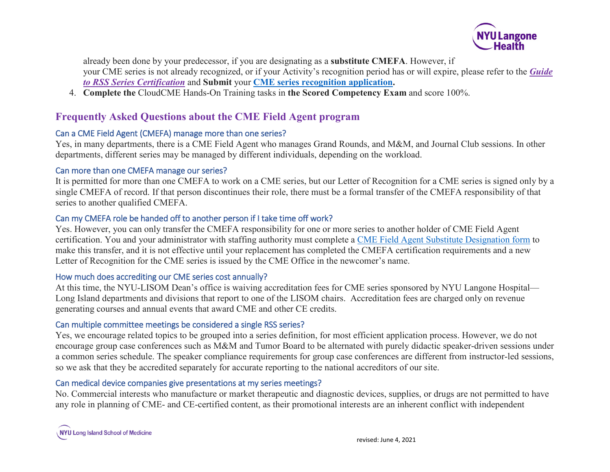

already been done by your predecessor, if you are designating as a **substitute CMEFA**. However, if your CME series is not already recognized, or if your Activity's recognition period has or will expire, please refer to the *[Guide](https://winthrop.cloud-cme.com/assets/winthrop/LISoM_Downloads/5_Tools/CME_Series_Annual_Recognition_Process_2021.pdf)  [to RSS Series Certification](https://winthrop.cloud-cme.com/assets/winthrop/LISoM_Downloads/5_Tools/CME_Series_Annual_Recognition_Process_2021.pdf)* and **Submit** your **[CME series](https://winthrop.cloud-cme.com/application.aspx) recognition application.**

4. **Complete the** CloudCME Hands-On Training tasks in **the Scored Competency Exam** and score 100%.

# **Frequently Asked Questions about the CME Field Agent program**

### Can a CME Field Agent (CMEFA) manage more than one series?

Yes, in many departments, there is a CME Field Agent who manages Grand Rounds, and M&M, and Journal Club sessions. In other departments, different series may be managed by different individuals, depending on the workload.

#### Can more than one CMEFA manage our series?

It is permitted for more than one CMEFA to work on a CME series, but our Letter of Recognition for a CME series is signed only by a single CMEFA of record. If that person discontinues their role, there must be a formal transfer of the CMEFA responsibility of that series to another qualified CMEFA.

### Can my CMEFA role be handed off to another person if I take time off work?

Yes. However, you can only transfer the CMEFA responsibility for one or more series to another holder of CME Field Agent certification. You and your administrator with staffing authority must complete a [CME Field Agent Substitute Designation form](https://nyumc.qualtrics.com/jfe/form/SV_5v5UDvzlM6dSveR) to make this transfer, and it is not effective until your replacement has completed the CMEFA certification requirements and a new Letter of Recognition for the CME series is issued by the CME Office in the newcomer's name.

### How much does accrediting our CME series cost annually?

At this time, the NYU-LISOM Dean's office is waiving accreditation fees for CME series sponsored by NYU Langone Hospital— Long Island departments and divisions that report to one of the LISOM chairs. Accreditation fees are charged only on revenue generating courses and annual events that award CME and other CE credits.

### Can multiple committee meetings be considered a single RSS series?

Yes, we encourage related topics to be grouped into a series definition, for most efficient application process. However, we do not encourage group case conferences such as M&M and Tumor Board to be alternated with purely didactic speaker-driven sessions under a common series schedule. The speaker compliance requirements for group case conferences are different from instructor-led sessions, so we ask that they be accredited separately for accurate reporting to the national accreditors of our site.

### Can medical device companies give presentations at my series meetings?

No. Commercial interests who manufacture or market therapeutic and diagnostic devices, supplies, or drugs are not permitted to have any role in planning of CME- and CE-certified content, as their promotional interests are an inherent conflict with independent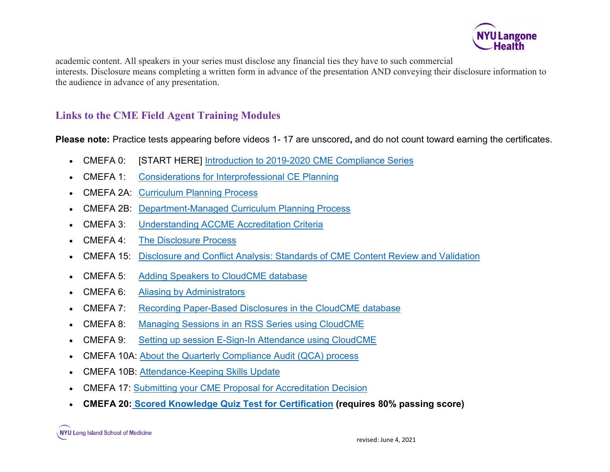

academic content. All speakers in your series must disclose any financial ties they have to such commercial interests. Disclosure means completing a written form in advance of the presentation AND conveying their disclosure information to the audience in advance of any presentation.

### **Links to the CME Field Agent Training Modules**

**Please note:** Practice tests appearing before videos 1- 17 are unscored**,** and do not count toward earning the certificates.

- CMEFA 0: [START HERE] [Introduction to 2019-2020 CME Compliance Series](https://winthrop.cloud-cme.com/LaunchScorm.aspx?CaseID=39&video=true)
- CMEFA 1: [Considerations for Interprofessional CE Planning](https://winthrop.cloud-cme.com/LaunchScorm.aspx?CaseID=44&video=true)
- CMEFA 2A: [Curriculum Planning Process](https://winthrop.cloud-cme.com/LaunchScorm.aspx?CaseID=45&video=true)
- CMEFA 2B: [Department-Managed Curriculum Planning Process](https://winthrop.cloud-cme.com/LaunchScorm.aspx?CaseID=46&video=true)
- CMEFA 3: [Understanding ACCME Accreditation Criteria](https://winthrop.cloud-cme.com/LaunchScorm.aspx?CaseID=47&video=true)
- CMEFA 4: [The Disclosure Process](https://winthrop.cloud-cme.com/LaunchScorm.aspx?CaseID=48&video=true)
- CMEFA 15: [Disclosure and Conflict Analysis: Standards of CME Content Review and Validation](https://winthrop.cloud-cme.com/LaunchScorm.aspx?CaseID=38&video=true)
- CMEFA 5: [Adding Speakers to CloudCME database](https://winthrop.cloud-cme.com/LaunchScorm.aspx?CaseID=33&video=true)
- CMEFA 6: [Aliasing by Administrators](https://winthrop.cloud-cme.com/LaunchScorm.aspx?CaseID=35&video=true)
- CMEFA 7: [Recording Paper-Based Disclosures in the CloudCME database](https://winthrop.cloud-cme.com/LaunchScorm.aspx?CaseID=35&video=true)
- CMEFA 8: [Managing Sessions in an RSS Series using CloudCME](https://winthrop.cloud-cme.com/LaunchScorm.aspx?CaseID=34&video=true)
- CMEFA 9: [Setting up session E-Sign-In Attendance using CloudCME](https://winthrop.cloud-cme.com/LaunchScorm.aspx?CaseID=37&video=truev)
- CMEFA 10A: [About the Quarterly Compliance Audit \(QCA\) process](https://winthrop.cloud-cme.com/LaunchScorm.aspx?CaseID=38&video=truetarget=)
- CMEFA 10B: [Attendance-Keeping Skills Update](https://youtu.be/7AAAxadnqhI)
- CMEFA 17: [Submitting your CME Proposal for Accreditation Decision](https://winthrop.cloud-cme.com/LaunchScorm.aspx?CaseID=89&userid=18701&video=true)
- **CMEFA 20: [Scored Knowledge Quiz Test for Certification](https://nyumc.qualtrics.com/jfe/form/SV_560qojvww2EpOeN) (requires 80% passing score)**